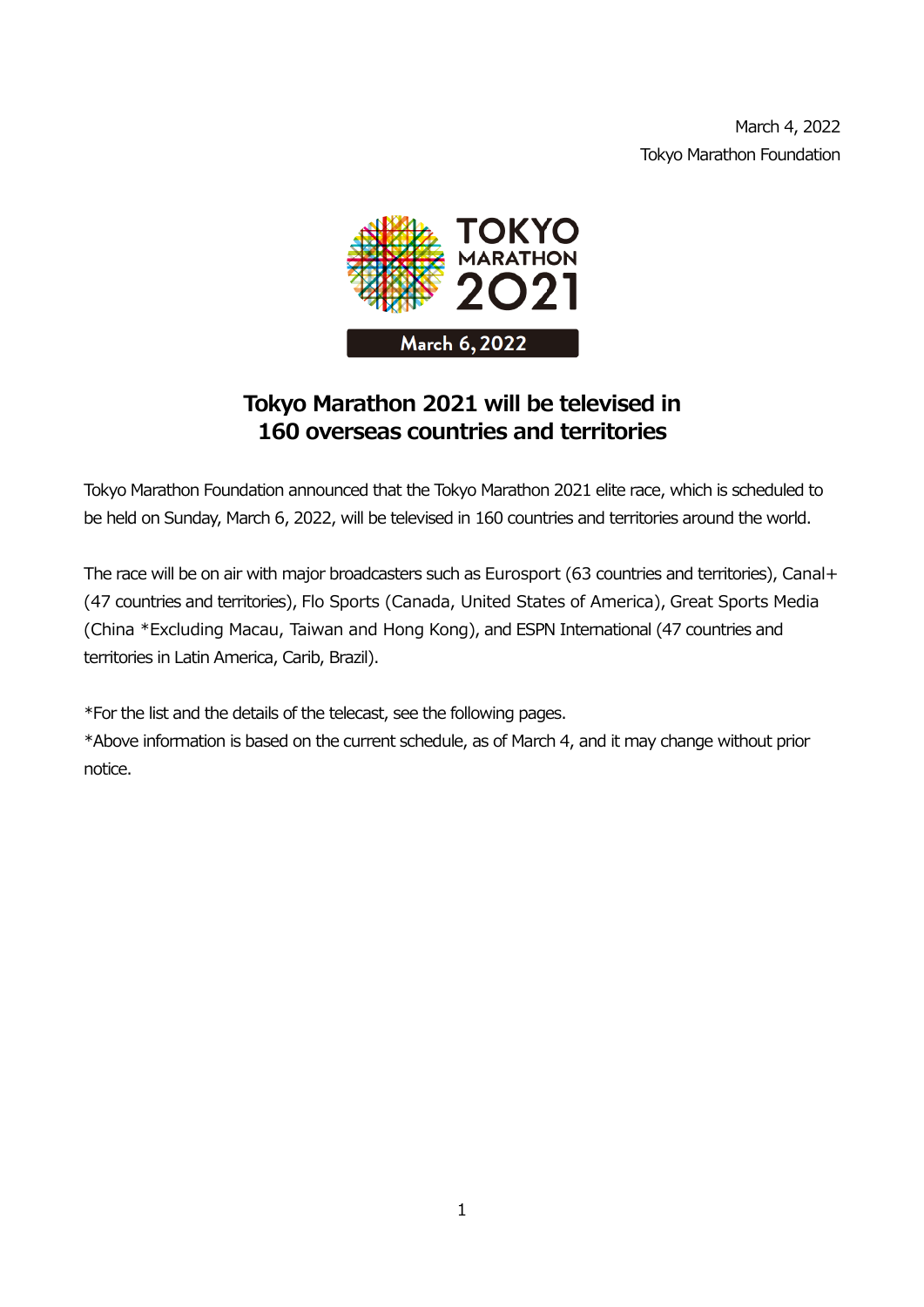

## **Tokyo Marathon 2021 will be televised in 160 overseas countries and territories**

Tokyo Marathon Foundation announced that the Tokyo Marathon 2021 elite race, which is scheduled to be held on Sunday, March 6, 2022, will be televised in 160 countries and territories around the world.

The race will be on air with major broadcasters such as Eurosport (63 countries and territories), Canal+ (47 countries and territories), Flo Sports (Canada, United States of America), Great Sports Media (China \*Excluding Macau, Taiwan and Hong Kong), and ESPN International (47 countries and territories in Latin America, Carib, Brazil).

\*For the list and the details of the telecast, see the following pages.

\*Above information is based on the current schedule, as of March 4, and it may change without prior notice.